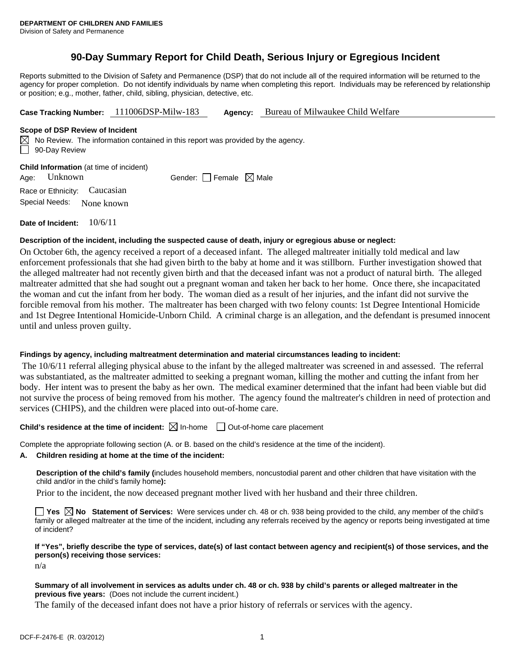## **90-Day Summary Report for Child Death, Serious Injury or Egregious Incident**

Reports submitted to the Division of Safety and Permanence (DSP) that do not include all of the required information will be returned to the agency for proper completion. Do not identify individuals by name when completing this report. Individuals may be referenced by relationship or position; e.g., mother, father, child, sibling, physician, detective, etc.

**Case Tracking Number:** 111006DSP-Milw-183 **Agency:** Bureau of Milwaukee Child Welfare

#### **Scope of DSP Review of Incident**

 $\boxtimes$  No Review. The information contained in this report was provided by the agency. 90-Day Review

**Child Information** (at time of incident)

Age: Unknown Gender: Female  $\boxtimes$  Male

Race or Ethnicity: Caucasian Special Needs: None known

**Date of Incident:** 10/6/11

## **Description of the incident, including the suspected cause of death, injury or egregious abuse or neglect:**

On October 6th, the agency received a report of a deceased infant. The alleged maltreater initially told medical and law enforcement professionals that she had given birth to the baby at home and it was stillborn. Further investigation showed that the alleged maltreater had not recently given birth and that the deceased infant was not a product of natural birth. The alleged maltreater admitted that she had sought out a pregnant woman and taken her back to her home. Once there, she incapacitated the woman and cut the infant from her body. The woman died as a result of her injuries, and the infant did not survive the forcible removal from his mother. The maltreater has been charged with two felony counts: 1st Degree Intentional Homicide and 1st Degree Intentional Homicide-Unborn Child. A criminal charge is an allegation, and the defendant is presumed innocent until and unless proven guilty.

## **Findings by agency, including maltreatment determination and material circumstances leading to incident:**

 The 10/6/11 referral alleging physical abuse to the infant by the alleged maltreater was screened in and assessed. The referral was substantiated, as the maltreater admitted to seeking a pregnant woman, killing the mother and cutting the infant from her body. Her intent was to present the baby as her own. The medical examiner determined that the infant had been viable but did not survive the process of being removed from his mother. The agency found the maltreater's children in need of protection and services (CHIPS), and the children were placed into out-of-home care.

## **Child's residence at the time of incident:**  $\boxtimes$  In-home  $\Box$  Out-of-home care placement

Complete the appropriate following section (A. or B. based on the child's residence at the time of the incident).

## **A. Children residing at home at the time of the incident:**

**Description of the child's family (**includes household members, noncustodial parent and other children that have visitation with the child and/or in the child's family home**):** 

Prior to the incident, the now deceased pregnant mother lived with her husband and their three children.

**Yes**  $\boxtimes$  **No** Statement of Services: Were services under ch. 48 or ch. 938 being provided to the child, any member of the child's family or alleged maltreater at the time of the incident, including any referrals received by the agency or reports being investigated at time of incident?

## **If "Yes", briefly describe the type of services, date(s) of last contact between agency and recipient(s) of those services, and the person(s) receiving those services:**

n/a

### **Summary of all involvement in services as adults under ch. 48 or ch. 938 by child's parents or alleged maltreater in the previous five years:** (Does not include the current incident.)

The family of the deceased infant does not have a prior history of referrals or services with the agency.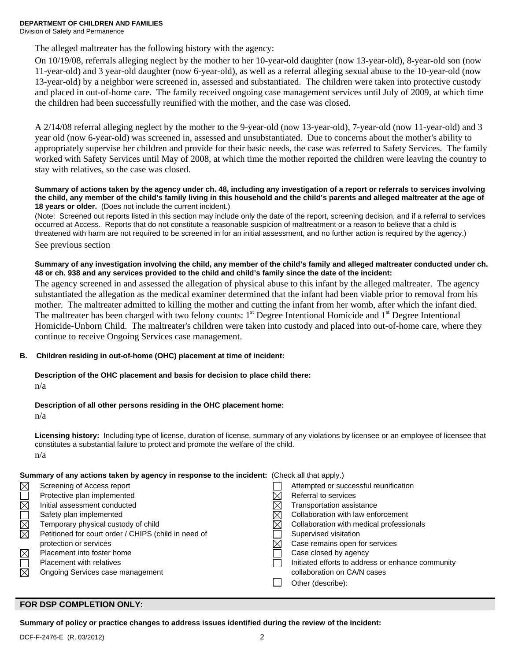**DEPARTMENT OF CHILDREN AND FAMILIES**  Division of Safety and Permanence

The alleged maltreater has the following history with the agency:

On 10/19/08, referrals alleging neglect by the mother to her 10-year-old daughter (now 13-year-old), 8-year-old son (now 11-year-old) and 3 year-old daughter (now 6-year-old), as well as a referral alleging sexual abuse to the 10-year-old (now 13-year-old) by a neighbor were screened in, assessed and substantiated. The children were taken into protective custody and placed in out-of-home care. The family received ongoing case management services until July of 2009, at which time the children had been successfully reunified with the mother, and the case was closed.

A 2/14/08 referral alleging neglect by the mother to the 9-year-old (now 13-year-old), 7-year-old (now 11-year-old) and 3 year old (now 6-year-old) was screened in, assessed and unsubstantiated. Due to concerns about the mother's ability to appropriately supervise her children and provide for their basic needs, the case was referred to Safety Services. The family worked with Safety Services until May of 2008, at which time the mother reported the children were leaving the country to stay with relatives, so the case was closed.

#### **Summary of actions taken by the agency under ch. 48, including any investigation of a report or referrals to services involving the child, any member of the child's family living in this household and the child's parents and alleged maltreater at the age of 18 years or older.** (Does not include the current incident.)

(Note: Screened out reports listed in this section may include only the date of the report, screening decision, and if a referral to services occurred at Access. Reports that do not constitute a reasonable suspicion of maltreatment or a reason to believe that a child is threatened with harm are not required to be screened in for an initial assessment, and no further action is required by the agency.)

See previous section

## **Summary of any investigation involving the child, any member of the child's family and alleged maltreater conducted under ch. 48 or ch. 938 and any services provided to the child and child's family since the date of the incident:**

The agency screened in and assessed the allegation of physical abuse to this infant by the alleged maltreater. The agency substantiated the allegation as the medical examiner determined that the infant had been viable prior to removal from his mother. The maltreater admitted to killing the mother and cutting the infant from her womb, after which the infant died. The maltreater has been charged with two felony counts:  $1<sup>st</sup>$  Degree Intentional Homicide and  $1<sup>st</sup>$  Degree Intentional Homicide-Unborn Child. The maltreater's children were taken into custody and placed into out-of-home care, where they continue to receive Ongoing Services case management.

## **B. Children residing in out-of-home (OHC) placement at time of incident:**

## **Description of the OHC placement and basis for decision to place child there:**

n/a

## **Description of all other persons residing in the OHC placement home:**

n/a

**Licensing history:** Including type of license, duration of license, summary of any violations by licensee or an employee of licensee that constitutes a substantial failure to protect and promote the welfare of the child. n/a

# **Summary of any actions taken by agency in response to the incident:** (Check all that apply.)

|                        | Screening of Access report                           | Attempted or successful reunification             |
|------------------------|------------------------------------------------------|---------------------------------------------------|
|                        | Protective plan implemented                          | Referral to services                              |
| $\overline{\boxtimes}$ | Initial assessment conducted                         | Transportation assistance                         |
|                        | Safety plan implemented                              | Collaboration with law enforcement                |
| <u>kar</u>             | Temporary physical custody of child                  | Collaboration with medical professionals          |
|                        | Petitioned for court order / CHIPS (child in need of | Supervised visitation                             |
|                        | protection or services                               | Case remains open for services                    |
| $\triangleq$           | Placement into foster home                           | Case closed by agency                             |
|                        | <b>Placement with relatives</b>                      | Initiated efforts to address or enhance community |
| ₹                      | Ongoing Services case management                     | collaboration on CA/N cases                       |
|                        |                                                      | Other (describe):                                 |
|                        |                                                      |                                                   |

## **FOR DSP COMPLETION ONLY:**

**Summary of policy or practice changes to address issues identified during the review of the incident:**